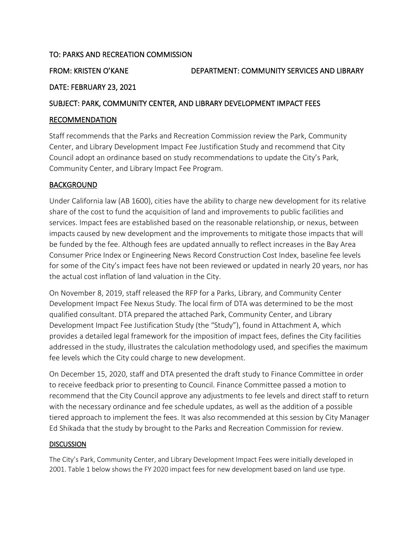## TO: PARKS AND RECREATION COMMISSION

FROM: KRISTEN O'KANE DEPARTMENT: COMMUNITY SERVICES AND LIBRARY

# DATE: FEBRUARY 23, 2021

## SUBJECT: PARK, COMMUNITY CENTER, AND LIBRARY DEVELOPMENT IMPACT FEES

### RECOMMENDATION

Staff recommends that the Parks and Recreation Commission review the Park, Community Center, and Library Development Impact Fee Justification Study and recommend that City Council adopt an ordinance based on study recommendations to update the City's Park, Community Center, and Library Impact Fee Program.

# BACKGROUND

Under California law (AB 1600), cities have the ability to charge new development for its relative share of the cost to fund the acquisition of land and improvements to public facilities and services. Impact fees are established based on the reasonable relationship, or nexus, between impacts caused by new development and the improvements to mitigate those impacts that will be funded by the fee. Although fees are updated annually to reflect increases in the Bay Area Consumer Price Index or Engineering News Record Construction Cost Index, baseline fee levels for some of the City's impact fees have not been reviewed or updated in nearly 20 years, nor has the actual cost inflation of land valuation in the City.

On November 8, 2019, staff released the RFP for a Parks, Library, and Community Center Development Impact Fee Nexus Study. The local firm of DTA was determined to be the most qualified consultant. DTA prepared the attached Park, Community Center, and Library Development Impact Fee Justification Study (the "Study"), found in [Attachment A, w](https://www.cityofpaloalto.org/civicax/filebank/blobdload.aspx?BlobID=80463)hich provides a detailed legal framework for the imposition of impact fees, defines the City facilities addressed in the study, illustrates the calculation methodology used, and specifies the maximum fee levels which the City could charge to new development.

On December 15, 2020, staff and DTA presented the draft study to Finance Committee in order to receive feedback prior to presenting to Council. Finance Committee passed a motion to recommend that the City Council approve any adjustments to fee levels and direct staff to return with the necessary ordinance and fee schedule updates, as well as the addition of a possible tiered approach to implement the fees. It was also recommended at this session by City Manager Ed Shikada that the study by brought to the Parks and Recreation Commission for review.

### **DISCUSSION**

The City's Park, Community Center, and Library Development Impact Fees were initially developed in 2001. Table 1 below shows the FY 2020 impact fees for new development based on land use type.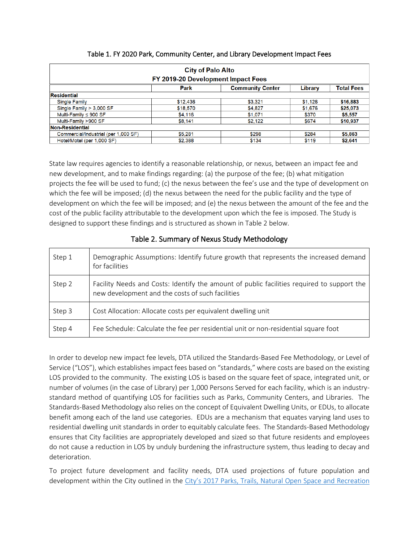| <b>City of Palo Alto</b><br>FY 2019-20 Development Impact Fees         |                                      |         |         |          |  |  |  |  |
|------------------------------------------------------------------------|--------------------------------------|---------|---------|----------|--|--|--|--|
| <b>Total Fees</b><br>Library<br><b>Park</b><br><b>Community Center</b> |                                      |         |         |          |  |  |  |  |
| <b>Residential</b>                                                     |                                      |         |         |          |  |  |  |  |
| <b>Single Family</b>                                                   | \$12,436                             | \$3,321 | \$1,126 | \$16,883 |  |  |  |  |
| Single Family $> 3,000$ SF                                             | \$18,570                             | \$4,827 | \$1,676 | \$25,073 |  |  |  |  |
| Multi-Family ≤ 900 SF                                                  | \$4,116                              | \$1,071 | \$370   | \$5,557  |  |  |  |  |
| Multi-Family >900 SF                                                   | \$8.141                              | \$2,122 | \$674   | \$10,937 |  |  |  |  |
| Non-Residential                                                        |                                      |         |         |          |  |  |  |  |
| Commercial/Industrial (per 1,000 SF)                                   | \$5,281                              | \$298   | \$284   | \$5,863  |  |  |  |  |
| Hotel/Motel (per 1,000 SF)                                             | \$2,388<br>\$134<br>\$119<br>\$2,641 |         |         |          |  |  |  |  |

#### Table 1. FY 2020 Park, Community Center, and Library Development Impact Fees

State law requires agencies to identify a reasonable relationship, or nexus, between an impact fee and new development, and to make findings regarding: (a) the purpose of the fee; (b) what mitigation projects the fee will be used to fund; (c) the nexus between the fee's use and the type of development on which the fee will be imposed; (d) the nexus between the need for the public facility and the type of development on which the fee will be imposed; and (e) the nexus between the amount of the fee and the cost of the public facility attributable to the development upon which the fee is imposed. The Study is designed to support these findings and is structured as shown in Table 2 below.

| Step 1 | Demographic Assumptions: Identify future growth that represents the increased demand<br>for facilities                                         |
|--------|------------------------------------------------------------------------------------------------------------------------------------------------|
| Step 2 | Facility Needs and Costs: Identify the amount of public facilities required to support the<br>new development and the costs of such facilities |
| Step 3 | Cost Allocation: Allocate costs per equivalent dwelling unit                                                                                   |
| Step 4 | Fee Schedule: Calculate the fee per residential unit or non-residential square foot                                                            |

### Table 2. Summary of Nexus Study Methodology

In order to develop new impact fee levels, DTA utilized the Standards-Based Fee Methodology, or Level of Service ("LOS"), which establishes impact fees based on "standards," where costs are based on the existing LOS provided to the community. The existing LOS is based on the square feet of space, integrated unit, or number of volumes (in the case of Library) per 1,000 Persons Served for each facility, which is an industrystandard method of quantifying LOS for facilities such as Parks, Community Centers, and Libraries. The Standards-Based Methodology also relies on the concept of Equivalent Dwelling Units, or EDUs, to allocate benefit among each of the land use categories. EDUs are a mechanism that equates varying land uses to residential dwelling unit standards in order to equitably calculate fees. The Standards-Based Methodology ensures that City facilities are appropriately developed and sized so that future residents and employees do not cause a reduction in LOS by unduly burdening the infrastructure system, thus leading to decay and deterioration.

To project future development and facility needs, DTA used projections of future population and development within the City outlined in the City's 2017 Parks, Trails, Natural Open Space and Recreation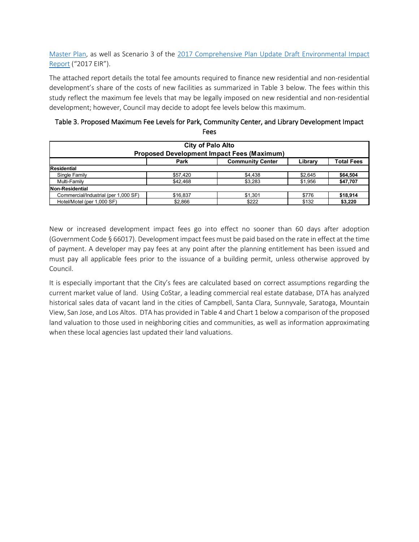[Master](https://www.cityofpaloalto.org/civicax/filebank/documents/64161) Plan, as well as Scenario 3 of the [2017 Comprehensive Plan Update Draft Environmental Impact](https://www.cityofpaloalto.org/civicax/filebank/documents/63457)  [Report](https://www.cityofpaloalto.org/civicax/filebank/documents/63457) ("2017 EIR").

The attached report details the total fee amounts required to finance new residential and non-residential development's share of the costs of new facilities as summarized in Table 3 below. The fees within this study reflect the maximum fee levels that may be legally imposed on new residential and non-residential development; however, Council may decide to adopt fee levels below this maximum.

| Table 3. Proposed Maximum Fee Levels for Park, Community Center, and Library Development Impact |      |  |
|-------------------------------------------------------------------------------------------------|------|--|
|                                                                                                 | Fees |  |

| <b>City of Palo Alto</b>                                        |          |         |         |          |  |  |  |
|-----------------------------------------------------------------|----------|---------|---------|----------|--|--|--|
| <b>Proposed Development Impact Fees (Maximum)</b>               |          |         |         |          |  |  |  |
| <b>Total Fees</b><br>Park<br><b>Community Center</b><br>Library |          |         |         |          |  |  |  |
| Residential                                                     |          |         |         |          |  |  |  |
| Single Family                                                   | \$57.420 | \$4.438 | \$2.645 | \$64,504 |  |  |  |
| Multi-Family                                                    | \$42.468 | \$3,283 | \$1,956 | \$47,707 |  |  |  |
| Non-Residential                                                 |          |         |         |          |  |  |  |
| Commercial/Industrial (per 1,000 SF)                            | \$16,837 | \$1.301 | \$776   | \$18,914 |  |  |  |
| Hotel/Motel (per 1,000 SF)                                      | \$2,866  | \$222   | \$132   | \$3,220  |  |  |  |

New or increased development impact fees go into effect no sooner than 60 days after adoption (Government Code § 66017). Development impact fees must be paid based on the rate in effect at the time of payment. A developer may pay fees at any point after the planning entitlement has been issued and must pay all applicable fees prior to the issuance of a building permit, unless otherwise approved by Council.

It is especially important that the City's fees are calculated based on correct assumptions regarding the current market value of land. Using CoStar, a leading commercial real estate database, DTA has analyzed historical sales data of vacant land in the cities of Campbell, Santa Clara, Sunnyvale, Saratoga, Mountain View, San Jose, and Los Altos. DTA has provided in Table 4 and Chart 1 below a comparison of the proposed land valuation to those used in neighboring cities and communities, as well as information approximating when these local agencies last updated their land valuations.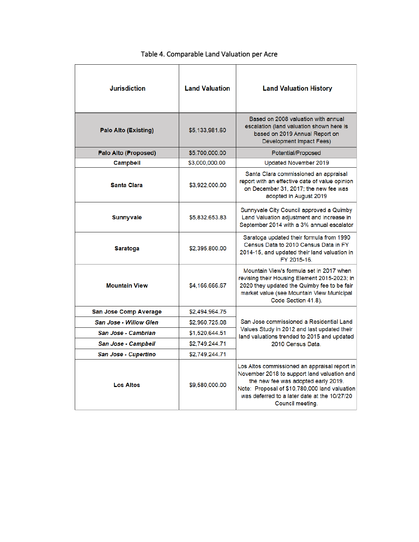| <b>Jurisdiction</b>           | <b>Land Valuation</b> | <b>Land Valuation History</b>                                                                                                                                                                                                                            |
|-------------------------------|-----------------------|----------------------------------------------------------------------------------------------------------------------------------------------------------------------------------------------------------------------------------------------------------|
| <b>Palo Alto (Existing)</b>   | \$5,133,981.60        | Based on 2008 valuation with annual<br>escalation (land valuation shown here is<br>based on 2019 Annual Report on<br><b>Development Impact Fees)</b>                                                                                                     |
| Palo Alto (Proposed)          | \$5,700,000.00        | Potential/Proposed                                                                                                                                                                                                                                       |
| <b>Campbell</b>               | \$3,000,000.00        | Updated November 2019                                                                                                                                                                                                                                    |
| <b>Santa Clara</b>            | \$3,922,000.00        | Santa Clara commissioned an appraisal<br>report with an effective date of value opinion<br>on December 31, 2017; the new fee was<br>adopted in August 2019                                                                                               |
| <b>Sunnyvale</b>              | \$5,832,653.83        | Sunnyvale City Council approved a Quimby<br>Land Valuation adjustment and increase in<br>September 2014 with a 3% annual escalator                                                                                                                       |
| <b>Saratoga</b>               | \$2,395,800.00        | Saratoga updated their formula from 1990<br>Census Data to 2010 Census Data in FY<br>2014-15, and updated their land valuation in<br>FY 2015-16.                                                                                                         |
| <b>Mountain View</b>          | \$4,166,666.67        | Mountain View's formula set in 2017 when<br>revising their Housing Element 2015-2023; in<br>2020 they updated the Quimby fee to be fair<br>market value (see Mountain View Municipal<br>Code Section 41.8).                                              |
| <b>San Jose Comp Average</b>  | \$2,494,964.75        |                                                                                                                                                                                                                                                          |
| <b>San Jose - Willow Glen</b> | \$2,960,725.08        | San Jose commissioned a Residential Land                                                                                                                                                                                                                 |
| San Jose - Cambrian           | \$1,520,644.51        | Values Study in 2012 and last updated their<br>land valuations trended to 2015 and updated                                                                                                                                                               |
| <b>San Jose - Campbell</b>    | \$2,749,244.71        | 2010 Census Data.                                                                                                                                                                                                                                        |
| San Jose - Cupertino          | \$2,749,244.71        |                                                                                                                                                                                                                                                          |
| <b>Los Altos</b>              | \$9,580,000.00        | Los Altos commissioned an appraisal report in<br>November 2018 to support land valuation and<br>the new fee was adopted early 2019.<br>Note: Proposal of \$10,780,000 land valuation<br>was deferred to a later date at the 10/27/20<br>Council meeting. |

# Table 4. Comparable Land Valuation per Acre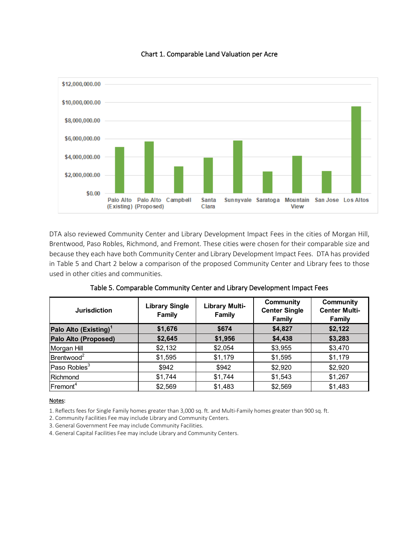

#### Chart 1. Comparable Land Valuation per Acre

DTA also reviewed Community Center and Library Development Impact Fees in the cities of Morgan Hill, Brentwood, Paso Robles, Richmond, and Fremont. These cities were chosen for their comparable size and because they each have both Community Center and Library Development Impact Fees. DTA has provided in Table 5 and Chart 2 below a comparison of the proposed Community Center and Library fees to those used in other cities and communities.

| <b>Jurisdiction</b>               | <b>Library Single</b><br><b>Family</b> | <b>Library Multi-</b><br>Family | <b>Community</b><br><b>Center Single</b><br><b>Family</b> | <b>Community</b><br><b>Center Multi-</b><br><b>Family</b> |
|-----------------------------------|----------------------------------------|---------------------------------|-----------------------------------------------------------|-----------------------------------------------------------|
| Palo Alto (Existing) <sup>1</sup> | \$1,676                                | \$674                           | \$4,827                                                   | \$2,122                                                   |
| Palo Alto (Proposed)              | \$2,645                                | \$1,956                         | \$4,438                                                   | \$3,283                                                   |
| Morgan Hill                       | \$2,132                                | \$2,054                         | \$3,955                                                   | \$3,470                                                   |
| Brentwood <sup>2</sup>            | \$1,595                                | \$1,179                         | \$1,595                                                   | \$1,179                                                   |
| Paso Robles <sup>3</sup>          | \$942                                  | \$942                           | \$2,920                                                   | \$2,920                                                   |
| <b>IRichmond</b>                  | \$1,744                                | \$1,744                         | \$1,543                                                   | \$1,267                                                   |
| Fremont <sup>4</sup>              | \$2,569                                | \$1,483                         | \$2,569                                                   | \$1,483                                                   |

#### Notes:

1. Reflects fees for Single Family homes greater than 3,000 sq. ft. and Multi-Family homes greater than 900 sq. ft.

2. Community Facilities Fee may include Library and Community Centers.

3. General Government Fee may include Community Facilities.

4. General Capital Facilities Fee may include Library and Community Centers.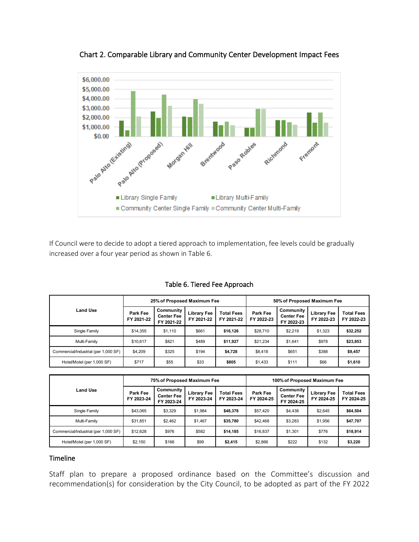

Chart 2. Comparable Library and Community Center Development Impact Fees

If Council were to decide to adopt a tiered approach to implementation, fee levels could be gradually increased over a four year period as shown in Table 6.

|                                      | 25% of Proposed Maximum Fee |                                              |                                  |                                 | 50% of Proposed Maximum Fee |                                              |                                  |                                 |
|--------------------------------------|-----------------------------|----------------------------------------------|----------------------------------|---------------------------------|-----------------------------|----------------------------------------------|----------------------------------|---------------------------------|
| <b>Land Use</b>                      | Park Fee<br>FY 2021-22      | Community<br><b>Center Fee</b><br>FY 2021-22 | <b>Library Fee</b><br>FY 2021-22 | <b>Total Fees</b><br>FY 2021-22 | Park Fee<br>FY 2022-23      | Community<br><b>Center Fee</b><br>FY 2022-23 | <b>Library Fee</b><br>FY 2022-23 | <b>Total Fees</b><br>FY 2022-23 |
| Single Family                        | \$14,355                    | \$1.110                                      | \$661                            | \$16.126                        | \$28,710                    | \$2.219                                      | \$1,323                          | \$32,252                        |
| Multi-Family                         | \$10.617                    | \$821                                        | \$489                            | \$11.927                        | \$21.234                    | \$1.641                                      | \$978                            | \$23,853                        |
| Commercial/Industrial (per 1,000 SF) | \$4.209                     | \$325                                        | \$194                            | \$4,728                         | \$8,418                     | \$651                                        | \$388                            | \$9,457                         |
| Hotel/Motel (per 1,000 SF)           | \$717                       | \$55                                         | \$33                             | \$805                           | \$1,433                     | \$111                                        | \$66                             | \$1,610                         |

Table 6. Tiered Fee Approach

|                                      | 75% of Proposed Maximum Fee |                                              |                           |                                 | 100% of Proposed Maximum Fee |                                              |                                  |                                 |
|--------------------------------------|-----------------------------|----------------------------------------------|---------------------------|---------------------------------|------------------------------|----------------------------------------------|----------------------------------|---------------------------------|
| Land Use                             | Park Fee<br>FY 2023-24      | Community<br><b>Center Fee</b><br>FY 2023-24 | Library Fee<br>FY 2023-24 | <b>Total Fees</b><br>FY 2023-24 | Park Fee<br>FY 2024-25       | Community<br><b>Center Fee</b><br>FY 2024-25 | <b>Library Fee</b><br>FY 2024-25 | <b>Total Fees</b><br>FY 2024-25 |
| Single Family                        | \$43.065                    | \$3,329                                      | \$1.984                   | \$48,378                        | \$57,420                     | \$4,438                                      | \$2.645                          | \$64,504                        |
| Multi-Family                         | \$31,851                    | \$2.462                                      | \$1,467                   | \$35,780                        | \$42,468                     | \$3,283                                      | \$1,956                          | \$47,707                        |
| Commercial/Industrial (per 1,000 SF) | \$12,628                    | \$976                                        | \$582                     | \$14.185                        | \$16,837                     | \$1.301                                      | \$776                            | \$18,914                        |
| Hotel/Motel (per 1,000 SF)           | \$2.150                     | \$166                                        | \$99                      | \$2,415                         | \$2.866                      | \$222                                        | \$132                            | \$3,220                         |

#### Timeline

Staff plan to prepare a proposed ordinance based on the Committee's discussion and recommendation(s) for consideration by the City Council, to be adopted as part of the FY 2022